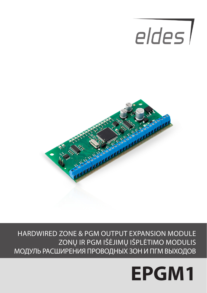# eldes l



HARDWIRED ZONE & PGM OUTPUT EXPANSION MODULE ZONŲ IR PGM IŠĖJIMŲ IŠPLĖTIMO MODULIS МОДУЛЬ РАСШИРЕНИЯ ПРОВОДНЫХ ЗОН И ПГМ ВЫХОДОВ

## **EPGM1**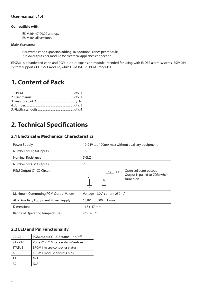#### **User manual v1.4**

#### **Compatible with:**

- ESIM264 v7.09.02 and up.
- ESIM364 all versions.

#### **Main features:**

- Hardwired zone expansion adding 16 additional zones per module.
- 2 PGM outputs per module for electrical appliance connection.

EPGM1 is a hardwired zone and PGM output expansion module intended for using with ELDES alarm systems. ESIM264 system supports 1 EPGM1 module, while ESIM364 - 2 EPGM1 modules.

## **1. Content of Pack**

## **2. Technical Specifications**

#### **2.1 Electrical & Mechanical Characteristics**

| Power Supply                          | 10-24V $\equiv$ 100mA max without auxiliary equipment.                             |
|---------------------------------------|------------------------------------------------------------------------------------|
| Number of Digital Inputs              | 16                                                                                 |
| Nominal Resistance                    | 5,6 $k\Omega$                                                                      |
| Number of PGM Outputs                 | $\overline{2}$                                                                     |
| PGM Output C1-C2 Circuit              | Open collector output.<br>$1R$ - OUT<br>Output is pulled to COM when<br>turned on. |
| Maximum Commuting PGM Output Values   | Voltage - 30V; current 250mA                                                       |
| AUX: Auxiliary Equipment Power Supply | $13,8V = 500$ mA max                                                               |
| <b>Dimensions</b>                     | 118 x 47 mm                                                                        |
| Range of Operating Temperatures       | $-20+55$ °C                                                                        |

#### **2.2 LED and Pin Functionality**

| C <sub>2</sub> , C <sub>1</sub> | PGM output C1, C2 status - on/off   |
|---------------------------------|-------------------------------------|
| $Z1 - Z16$                      | Zone Z1 - Z16 state - alarm/restore |
| <b>STATUS</b>                   | EPGM1 micro-controller status       |
| A0                              | EPGM1 module address pins           |
| A1                              | N/A                                 |
| A <sub>2</sub>                  | N/A                                 |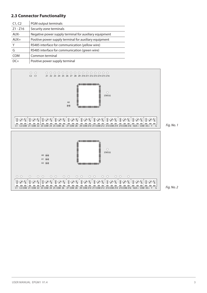#### **2.3 Connector Functionality**

| C1, C2     | PGM output terminals                                   |
|------------|--------------------------------------------------------|
| $Z1 - Z16$ | Security zone terminals                                |
| AUX-       | Negative power supply terminal for auxiliary equipment |
| $AUX+$     | Positive power supply terminal for auxiliary equipment |
|            | RS485 interface for communication (yellow wire)        |
| G          | RS485 interface for communication (green wire)         |
| COM        | Common terminal                                        |
| $DC+$      | Positive power supply terminal                         |

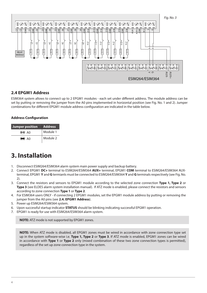

#### **2.4 EPGM1 Address**

ESIM364 system allows to connect up to 2 EPGM1 modules - each set under different address. The module address can be set by putting or removing the jumper from the A0 pins implemented in horizontal position (see Fig. No. 1 and 2). Jumper combinations for different EPGM1 module address configuration are indicated in the table below.

#### **Address Configuration**

| Jumper position   | <b>Address</b> |  |
|-------------------|----------------|--|
| $\circledcirc$ AO | Module 1       |  |
| DA (              | Module 2       |  |

## **3. Installation**

- 1. Disconnect ESIM264/ESIM364 alarm system main power supply and backup battery.
- 2. Connect EPGM1 **DC+** terminal to ESIM264/ESIM364 **AUX+** terminal, EPGM1 **COM** terminal to ESIM264/ESIM364 AUXterminal, EPGM1 **Y** and **G** termianls must be connected to ESIM264/ESIM364 **Y** and **G** terminals respectively (see Fig. No.  $2)$
- 3. Connect the resistors and sensors to EPGM1 module according to the selected zone connection **Type 1, Type 2** or **Type 3** (see ELDES alarm system installation manual). If ATZ mode is enabled, please connect the resistors and sensors according to zone connection **Type 1** or **Type 2**.
- 4. For ESIM364 users ONLY if connecting 2 EPGM1 modules, set the EPGM1 module address by putting or removing the jumper from the A0 pins (see **2.4. EPGM1 Address**).
- 5. Power up ESIM264/ESIM364 system.
- 6. Upon successful startup indicator **STATUS** should be blinking indicating successful EPGM1 operation.
- 7. EPGM1 is ready for use with ESIM264/ESIM364 alarm system.

**NOTE:** ATZ mode is not supported by EPGM1 zones.

**NOTE:** When ATZ mode is disabled, all EPGM1 zones must be wired in accordance with zone connection type set up in the system software-wise i.e. **Type 1, Type 2** or **Type 3**. If ATZ mode is enabled, EPGM1 zones can be wired in accordance with **Type 1** or **Type 2** only (mixed combination of these two zone connection types is permitted), regardless of the set up zone connection type in the system.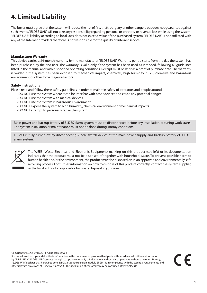## **4. Limited Liability**

The buyer must agree that the system will reduce the risk of fire, theft, burglary or other dangers but does not guarantee against such events. "ELDES UAB" will not take any responsibility regarding personal or property or revenue loss while using the system. "ELDES UAB" liability according to local laws does not exceed value of the purchased system. "ELDES UAB" is not affiliated with any of the Internet providers therefore is not responsible for the quality of Internet service.

#### **Manufacturer Warranty**

This device carries a 24-month warranty by the manufacturer "ELDES UAB". Warranty period starts from the day the system has been purchased by the end user. The warranty is valid only if the system has been used as intended, following all guidelines listed in the manual and within specified operating conditions. Receipt must be kept as a proof of purchase date. The warranty is voided if the system has been exposed to mechanical impact, chemicals, high humidity, fluids, corrosive and hazardous environment or other force majeure factors.

#### **Safety instructions**

Please read and follow these safety guidelines in order to maintain safety of operators and people around:

- DO NOT use the system where it can be interfere with other devices and cause any potential danger.
- DO NOT use the system with medical devices.
- DO NOT use the system in hazardous environment.
- DO NOT expose the system to high humidity, chemical environment or mechanical impacts.
- DO NOT attempt to personally repair the system.

Main power and backup battery of ELDES alarm system must be disconnected before any installation or tuning work starts. The system installation or maintenance must not be done during stormy conditions.

EPGM1 is fully turned off by disconnecting 2-pole switch device of the main power supply and backup battery of ELDES alarm system.



The WEEE (Waste Electrical and Electronic Equipment) marking on this product (see left) or its documentation indicates that the product must not be disposed of together with household waste. To prevent possible harm to human health and/or the environment, the product must be disposed on in an approved and environmentally safe recycling process. For further information on how to dispose of this product correctly, contact the system supplier, or the local authority responsible for waste disposal in your area.

Copyright © "ELDES UAB", 2013. All rights reserved

It is not allowed to copy and distribute information in this document or pass to a third party without advanced written authorization by "ELDES UAB". "ELDES UAB" reserves the right to update or modify this document and/or related products without a warning. Hereby, "ELDES UAB" declares that hardwired zone & PGM output expansion module EPGM1 is in compliance with the essential requirements and other relevant provisions of Directive 1999/5/EC. The declaration of conformity may be consulted at www.eldes.lt

CE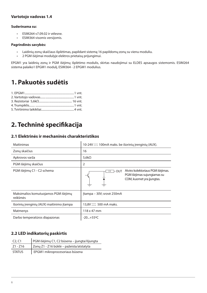#### **Vartotojo vadovas 1.4**

#### **Suderinama su:**

- ESIM264 v7.09.02 ir vėlesne.
- ESIM364 visomis versijomis.

#### **Pagrindinės savybės:**

- Laidinių zonų skaičiaus išplėtimas, papildant sistemą 16 papildomų zonų su vienu moduliu.<br>• 2 PGM išėjimai modulvie elektros prietaisu prijungimui.
- 2 PGM išėjimai modulyje elektros prietaisų prijungimui.

EPGM1 yra laidinių zonų ir PGM išėjimų išplėtimo modulis, skirtas naudojimui su ELDES apsaugos sistemomis. ESIM264 sistema palaiko1 EPGM1 modulį, ESIM364 - 2 EPGM1 modulius.

## **1. Pakuotės sudėtis**

## **2. Techninė specifikacija**

#### **2.1 Elektrinės ir mechaninės charakteristikos**

| Maitinimas                                       | 10-24V = 100mA maks. be išorinių įrenginių (AUX).                                                              |
|--------------------------------------------------|----------------------------------------------------------------------------------------------------------------|
| Zonų skaičius                                    | 16                                                                                                             |
| Apkrovos varža                                   | 5,6 $k\Omega$                                                                                                  |
| PGM išėjimų skaičius                             | 2                                                                                                              |
| PGM išėjimų C1 - C2 schema                       | Atviro kolektoriaus PGM išėjimas.<br>⊤- out<br>1 R<br>PGM išėjimas sujungiamas su<br>COM, kuomet yra jjungtas. |
| Maksimalios komutuojamos PGM išėjimų<br>reikšmės | Itampa - 30V; srovė 250mA                                                                                      |
| Išorinių įrenginių (AUX) maitinimo įtampa        | 13,8V === 500 mA maks.                                                                                         |
| Matmenys                                         | 118 x 47 mm                                                                                                    |
| Darbo temperatūros diapazonas                    | $-20+55$ °C                                                                                                    |

#### **2.2 LED indikatorių paskirtis**

| $C2$ , $C1$   | PGM išėjimų C1, C2 būsena – jjungta/išjungta |
|---------------|----------------------------------------------|
| Z1 - Z16      | Zonų Z1 - Z16 būklė – pažeista/atstatyta     |
| <b>STATUS</b> | EPGM1 mikroprocesoriaus būsena               |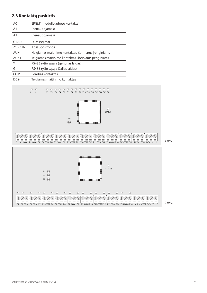#### **2.3 Kontaktų paskirtis**

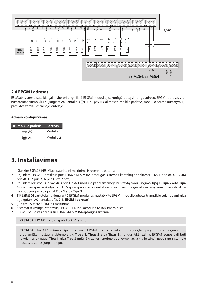

#### **2.4 EPGM1 adresas**

ESIM364 sistema suteikia galimybę prijungti iki 2 EPGM1 modulių, sukonfigūruotų skirtingu adresu. EPGM1 adresas yra nustatomas trumpikliu, sujungiant A0 kontaktus ((žr. 1 ir 2 pav.)). Galimos trumpiklio padėtys, modulio adreso nustatymui, pateiktos žemiau esančioje lentelėje.

#### **Adreso konfigūrvimas**

| Trumpiklio padėtis | Adresas   |
|--------------------|-----------|
| $\circledcirc$ AO  | Modulis 1 |
| $\bullet$ AO       | Modulis 2 |

## **3. Instaliavimas**

- 1. Išjunkite ESIM264/ESIM364 pagrindinį maitinimą ir rezervinę bateriją.
- 2. Prijunkite EPGM1 kontaktus prie ESIM264/ESIM364 apsaugos sistemos kontaktų atitinkamai **DC+** prie **AUX+**, **COM** prie **AUX**, **Y** prie **Y**, **G** prie **G** (žr. 2 pav.).
- 3. Prijunkite rezistorius ir daviklius prie EPGM1 modulio pagal sistemoje nustatytą zonų jungimo **Tipą 1, Tipą 2** arba **Tipą 3** (išsamiau apie tai skaitykite ELDES apsaugos sistemos instaliavimo vadove). Įjungus ATZ režimą, rezistoriai ir davikliai gali būti jungiami tik pagal **Tipą 1** arba **Tipą 2.**
- 4. TIK ESIM364 vartotojams jungiant 2 EPGM1 modulius, nustatykite EPGM1 modulio adresą, trumpikliu sujungdami arba atjungdami A0 kontaktus (žr. **2.4. EPGM1 adresas**).
- 5. liunkite ESIM264/ESIM364 maitinima.
- 6. Sistemai sėkmingai startavus, EPGM1 LED indikatorius **STATUS** ims mirksėti.
- 7. EPGM1 paruoštas darbui su ESIM264/ESIM364 apsaugos sistema.

**PASTABA:** EPGM1 zonos nepalaiko ATZ režimo.

**PASTABA:** Kai ATZ režimas išjungtas, visos EPGM1 zonos privalo būti sujungtos pagal zonos jungimo tipą, programiškai nustatytą sistemoje t.y. **Tipas 1, Tipas 2** arba **Tipas 3.** Įjungus ATZ režimą, EPGM1 zonos gali būti jungiamos tik pagal **Tipą 1** arba **Tipą 2** (mišri šių zonos jungimo tipų kombinacija yra leistina), nepaisant sistemoje nustatyto zonos jungimo tipo.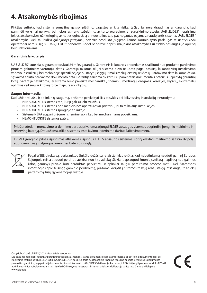## **4. Atsakomybės ribojimas**

Pirkėjas sutinka, kad sistema sumažina gaisro, plėšimo, vagystės ar kitą riziką, tačiau tai nėra draudimas ar garantija, kad paminėti veiksniai neįvyks, bei nebus asmenų sužeidimų, ar turto praradimo, ar sunaikinimo atvejų. UAB "ELDES" neprisiima jokios atsakomybės už tiesioginę ar netiesioginę žalą ar nuostolius, taip pat negautas pajamas, naudojantis sistema. UAB "ELDES" atsakomybė, kiek tai leidžia galiojantys įstatymai, neviršija produkto įsigijimo kainos. Korinio ryšio paslaugas teikiantys GSM operatoriai nėra susiję su UAB "ELDES" bendrove. Todėl bendrovė neprisiima jokios atsakomybės už tinklo paslaugas, jo aprėptį bei funkcionavimą.

#### **Garantinis laikotarpis**

UAB "ELDES" suteikia įsigytam produktui 24 mėn. garantiją. Garantinis laikotarpis pradedamas skaičiuoti nuo produkto pardavimo pirmam galutiniam vartotojui datos. Garantija taikoma tik jei sistema buvo naudota pagal paskirtį, laikantis visų instaliavimo vadovo instrukcijų, bei techninėje specifikacijoje nustatytų sąlygų ir maksimalių leistinų reikšmių. Pardavimo data laikoma čekio, sąskaitos ar kito pardavimo dokumento data. Garantija taikoma tik kartu su paminėtais dokumentais pateikus užpildytą garantinį kvitą. Garantija netaikoma, jei sistema buvo paveikta mechaniškai, cheminių medžiagų, drėgmės, korozijos, skysčių, ekstremalių aplinkos veiksnių ar kitokių force majeure aplinkybių.

#### **Saugos informacija**

Kad užtikrinti Jūsų ir aplinkinių saugumą, prašome perskaityti šias taisykles bei laikytis visų instrukcijų ir nurodymų:

- NENAUDOKITE sistemos ten, kur ji gali sukelti trikdžius.
- NENAUDOKITE sistemos prie medicininės aparatūros ar prietaisų, jei to reikalauja instrukcijos.
- NENAUDOKITE sistemos sprogioje aplinkoje.
- Sistema NĖRA atspari drėgmei, cheminei aplinkai, bei mechaniniams poveikiams.
- NEMONTUOKITE sistemos patys.

Prieš pradedant montavimo ar derinimo darbus privaloma atjungti ELDES apsaugos sistemos pagrindinį įrenginio maitinimą ir rezervinę bateriją. Draudžiama atlikti sistemos instaliavimo ir derinimo darbus žaibavimo metu.

EPGM1 įrenginio pilnas išjungimas atliekamas išjungus ELDES apsaugos sistemos išorinį elektros maitinimo šaltinio dvipolį atiungimo įtaisą ir atiungus rezervinės baterijos jungtį.



Pagal WEEE direktyvą, perbrauktos šiukšlių dėžės su ratais ženklas reiškia, kad nebetinkamą naudoti gaminį Europos Sąjungoje reikia atiduoti perdirbti atskirai nuo kitų atliekų. Siekiant apsaugoti žmonių sveikatą ir aplinką nuo galimos žalos, gaminys privalo būti perdirbtas patvirtintu ir aplinkai saugiu perdirbimo proceso metu. Dėl išsamesnės informacijos apie teisingą gaminio perdirbimą, prašome kreiptis į sistemos teikėją arba įstaigą, atsakingą už atliekų perdirbimą Jūsų gyvenamojoje vietoje.

Copyright © UAB "ELDES", 2013. Visos teisės saugomos

Draudžiama kopijuoti, kaupti ar perduoti tretiesiems asmenims, šiame dokumente esančią informaciją, ar bet kokią dokumento dalį be išankstinio raštiško UAB ELDES" sutikimo. UAB ELDES" pasilieka teisę be išankstinio įspėjimo tobulinti ar keisti bet kuriuos dokumente paminėtus gaminius, taip pat patį dokumentą. Šiuo dokumentu UAB "ELDES" deklaruoja, kad zonų ir PGM išėjimų išplėtimo modulis EPGM1 atitinka esminius reikalavimus ir kitas 1999/5/EC direktyvos nuostatas. Sistemos atitikties deklaraciją galite rasti šiame tinklalapyje: www.eldes.lt

CE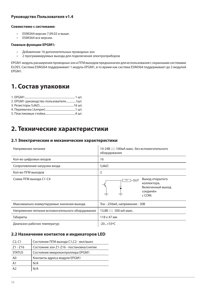#### **Руководство Пользователя v1.4**

#### **Совместимо с системами:**

- ESIM264 версии 7.09.02 и выше.
- ESIM364 все версии.

#### **Главные функции EPGM1:**

- Добавление 16 дополнительных проводных зон
- 2 программируемых выхода для подключения электроприборов

EPGM1 модуль расширения проводных зон и ПГМ выходов предназначен для использования с охранными системами ELDES. Система ESIM264 поддерживает 1 модуль EPGM1, в то время как система ESIM364 поддерживает до 2 модулей EPGM1.

## **1. Состав упаковки**

| 2. ЕРGM1 руководство пользователя1шт. |
|---------------------------------------|
|                                       |
|                                       |
|                                       |
|                                       |

## **2. Технические характеристики**

#### **2.1 Электрические и механические характеристики**

| Напряжение питания                               | 10-24В — 100мА макс. без вспомогательного<br>оборудования                              |
|--------------------------------------------------|----------------------------------------------------------------------------------------|
| Кол-во цифровых входов                           | 16                                                                                     |
| Сопротивление нагрузки входа                     | 5,6 $k\Omega$                                                                          |
| Кол-во ПГМ выходов                               | $\overline{2}$                                                                         |
| Схема ПГМ выхода С1-С4                           | Выход открытого<br>$1R$ - OUT<br>коллектора.<br>Включенный выход<br>соединён<br>c COM. |
| Максимально коммутируемые значения выхода        | Ток - 250мА, напряжение - 30В                                                          |
| Напряжение питания вспомогательного оборудования | 13,8В  500 мА макс.                                                                    |
| Габариты                                         | 118 x 47 MM                                                                            |
| Диапазон рабочих температур                      | $-20+55^{\circ}C$                                                                      |

#### **2.2 Назначение контактов и индикаторов LED**

| C <sub>2</sub> , C <sub>1</sub> | Состояние ПГМ выхода С1,С2 - вкл/выкл    |
|---------------------------------|------------------------------------------|
| $Z1 - Z16$                      | Состояние зон Z1-Z16 - постановка/снятие |
| <b>STATUS</b>                   | Состояние микроконтроллера EPGM1         |
| A <sub>0</sub>                  | Контакты адреса модуля EPGM1             |
| A <sub>1</sub>                  | N/A                                      |
| A2                              | N/A                                      |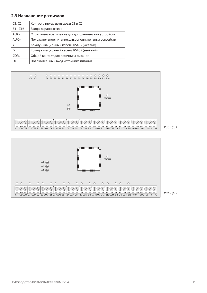#### **2.3 Назначение разъемов**

| C1, C2     | Контроллируемые выходы С1 и С2                     |
|------------|----------------------------------------------------|
| $Z1 - Z16$ | Входы охранных зон                                 |
| AUX-       | Отрицательное питание для дополнительных устройств |
| $AUX+$     | Положительное питание для дополнительных устройств |
| Υ          | Коммуникационный кабель RS485 (жёлтый)             |
| G          | Коммуникационный кабель RS485 (зелёный)            |
| <b>COM</b> | Общий контакт для источника питания                |
| $DC+$      | Положительный вход источника питания               |





РУКОВОДСТВО ПОЛЬЗОВАТЕЛЯ EPGM1 V1.4 11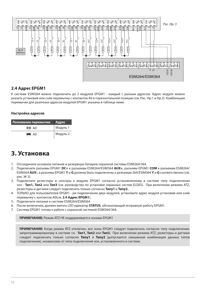

#### **2.4 Адрес EPGM1**

К системе ESIM364 можно подключить до 2 модулей EPGM1 - каждый с разным адресом. Адрес модуля можно указать установив или сняв перемычку с контактов A0 в горизонтальной позиции (см. Рис. Нр.1 и Нр.2). Комбинации перемычек для разлчных адресов модулей EPGM1 указаны в таблице ниже.

#### **Настройка адресов**

| Положение перемычки | Адрес    |
|---------------------|----------|
| $\circledcirc$ AO   | Модуль 1 |
| $\bullet$ AO        | Модуль 2 |

## **3. Установка**

- 1. Отсоедините основное питание и резервную батарею охранной системы ESIM264/364.
- 2. Подключите разъемы EPGM1 **DC+** к разъемам ESIM264/ESIM364 **AUX+**, разъемы EPGM1 **COM** к разъемам ESIM264/ ESIM364 **AUX-**, а разъемы EPGM1 **Y** и **G** должны быть подключены к разъемам 264/ESIM364 **Y** и **G** соответственно (см. рис. № 2).
- 3. Подключите резисторы и сенсоры к модулю EPGM1 согласно установленному в системе типу подключения зон - **Тип1, Тип2** или **Тип3** (см. руководство по установке охранных систем ELDES). При включении режима ATZ, резисторы и датчики следует подключать только согласно **Типу1** и **Типу2.**
- 4. ТОЛЬКО для пользователей EPGM1 ри подключении двух модулей, установите адрес модуля установив или сняв перемычку с контактов A0(см. **2.4 Адрес EPGM1**).
- 5. Подключите питание к системе ESIM264/ESIM364
- 6. После включения, должен мигать LED ндикатор **STATUS**, обозначающий исправную работу EPGM1.
- 7. Система EPGM1 готова к работе с охранной системой ESIM264/364.

**ПРИМЕЧАНИЕ:** Режим ATZ НЕ поддерживается зонами EPGM1

**ПРИМЕЧАНИЕ:** Когда режим ATZ отключен, все зоны EPGM1 следует подключать согласно типу подключения, запрограммированому в системе т.е. **Тип1, Тип2** или **Тип3.** При включении режима ATZ, резисторы и датчики следует подключать только согласно **Типу1** и **Типу2** (допускается смешанная комбинация данных типов подключения), независимо от типа подключения зон, установленного в системе.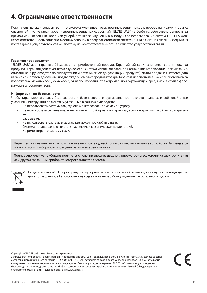## **4. Ограничение ответственности**

Покупатель должен согласиться, что система уменьшает риск возникновения пожара, воровства, кражи и других опасностей, но не гарантирует невозникновение таких событий. "ELDES UAB" не берёт на себя ответственность за прямой или косвенный вред или ущерб, а также за упущенную выгоду из-за использования системы. "ELDES UAB" несет ответственность согласно местным законам в пределах стоимости системы. "ELDES UAB" не связан ни с одним из поставщиков услуг сотовой связи, поэтому не несет ответственность за качество услуг сотовой связи.

#### **Гарантия производителя**

"ELDES UAB" даёт гарантию 24 месяца на приобретенный продукт. Гарантийный срок начинается со дня покупки продукта. Гарантия действует в том случае, если система использовалась по назначению (соблюдались все указания, описанные в руководстве по эксплуатации и в технической документации продукта). Датой продажи считается дата на чеке или другом документе, подтверждающем факт продажи товара. Гарантия недействительна, если система была повреждена механически, химически, от влаги, корозии, от экстремальной окружающей среды или в случае форсмажорных обстоятельств.

#### **Информация по безопасности**

Чтобы гарантировать вашу безопасность и безопасность окружающих, прочтите эти правила, и соблюдайте все указания и инструкции по монтажу, указанные в данном руководстве:

- Не использовать систему там, где она может создать помехи или угрозу.
- Не монтировать систему возле медицинcких приборов и аппаратуры, если инструкции такой аппаратуры это не

разрешают.

- Не использовать систему в местах, где может произойти взрыв.
- Система не защищена от влаги, химических и механических воздействий.
- Не ремонтируйте систему сами.

Перед тем, как начать работы по установке или монтажу, необходимо отключить питание устройства. Запрещается прикасаться к прибору или проводить работы во время молнии.

Полное отключение прибора выполняется отключив внешнее двухполярное устройство, источника электропитания или другой связанный прибор от которого питается система.



По директивам WEEE перечёркнутый мусорный ящик с колёсами обозначает, что изделие, неподходящие для употребления, в Евро Союзе надо сдавать на переработку отдельно от остального мусора.

Copyright © "ELDES UAB", 2013. Все права охраняются

Запрещается копировать, накапливать или передавать информацию, находящуюся в этом документе, третьим лицам без заранее согласованного писменного согласия "ELDES UAB". "ELDES UAB" оставляет за собой права усовершенствовать или менять любые в документе описанные изделия, а также и сам документ без предупрждения заранее. "ELDES UAB" декларирует, что данная беспроводная светодиодная клавиатура EKB3W соответствует основным требованиям директивы 1999/5/EC. Ее декларацию соответствия можно найти на данной страничке www.eldes.lt

 $\epsilon$